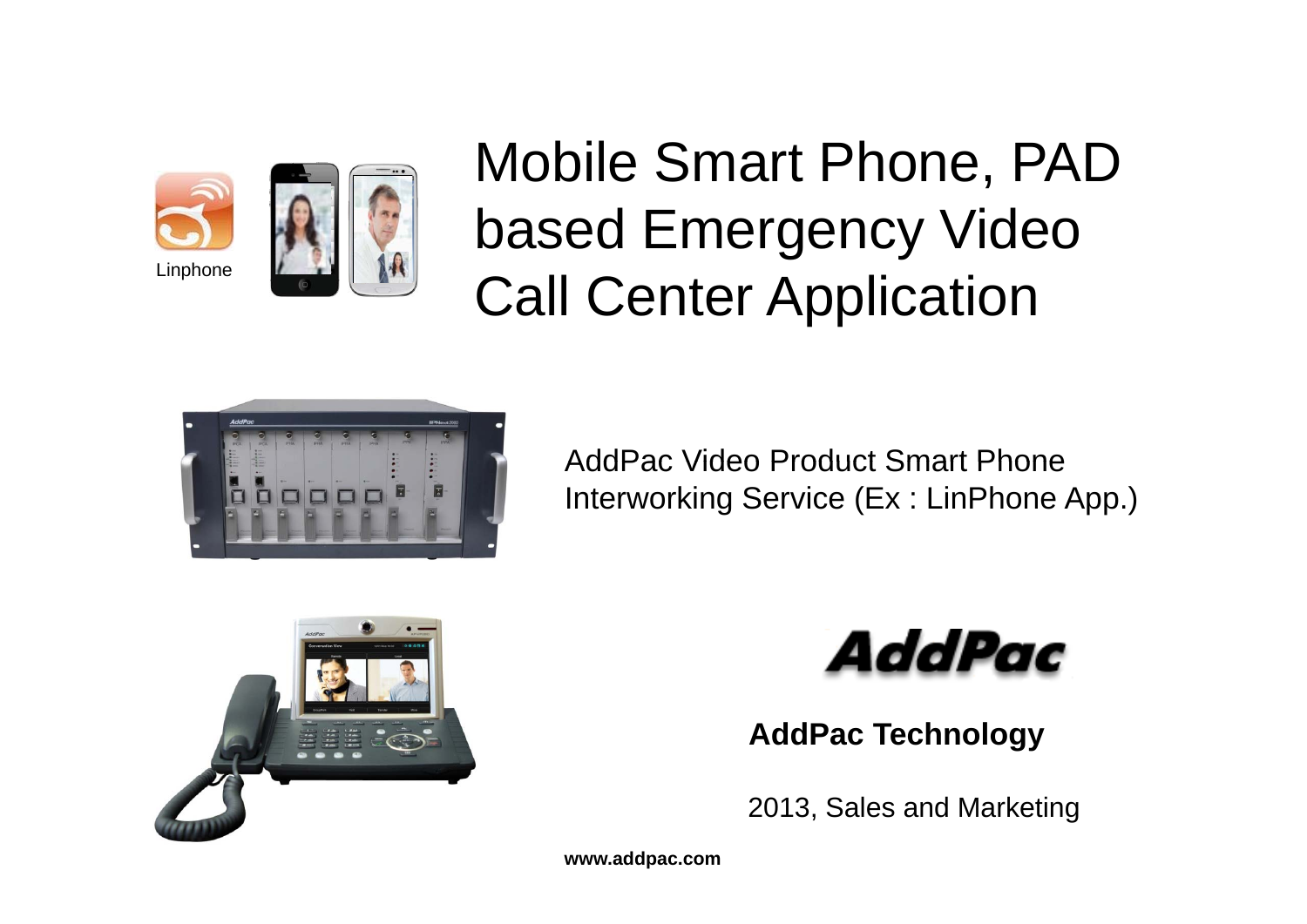



Mobile Smart Phone, PAD based Emergency Video Linphone Law Call Center Application



AddPac Video Product Smart Phone Interworking Service (Ex : LinPhone App.)





**AddPac Technology**

2013, Sales and Marketing 2011, Sales and Marketing

**www.addpac.com**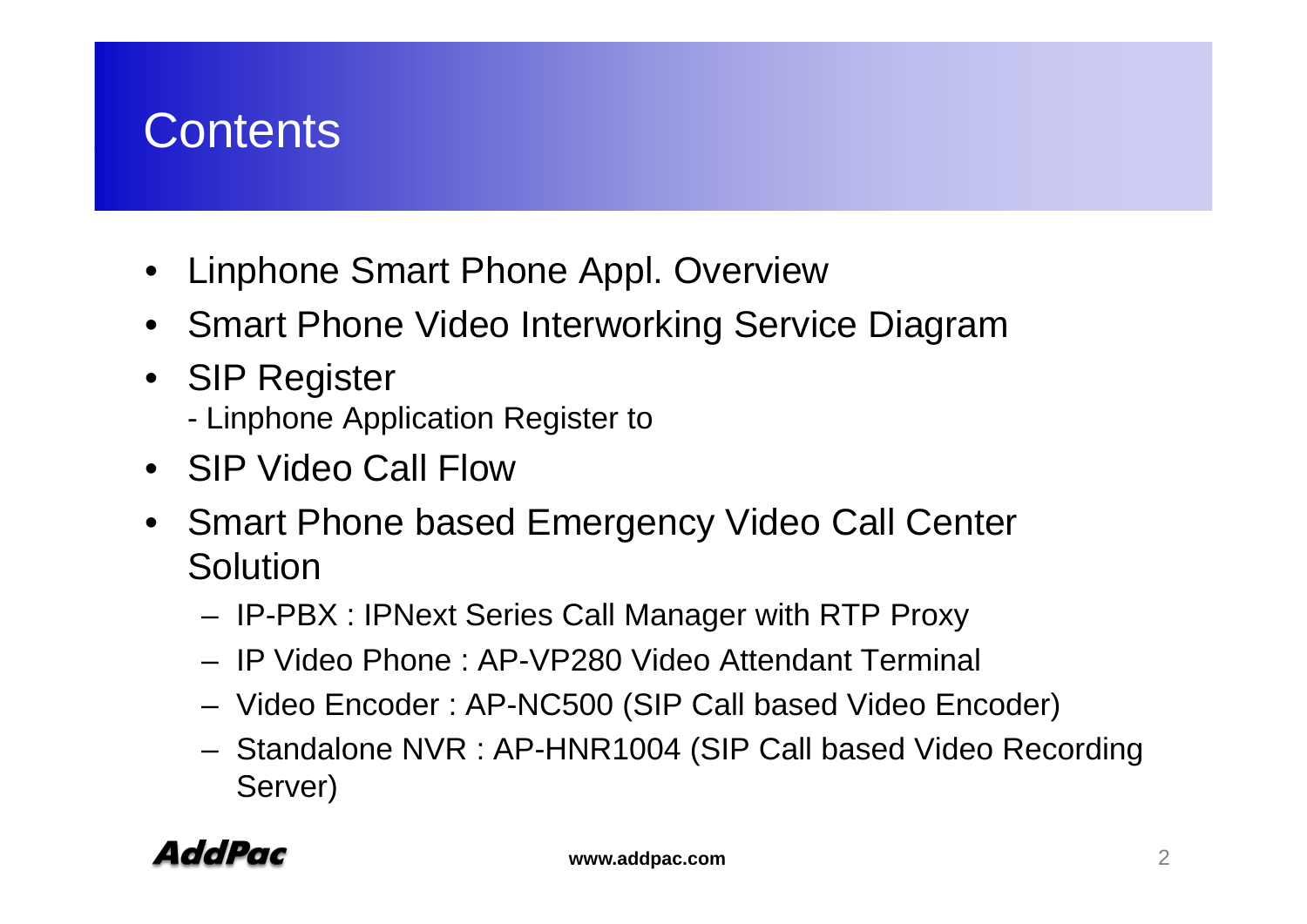## **Contents**

- $\bullet$ Linphone Smart Phone Appl. Overview
- Smart Phone Video Interworking Service Diagram
- SIP Register - Linphone Application Register to
- SIP Video Call Flow
- Smart Phone based Emergency Video Call Center Solution
	- –IP-PBX : IPNext Series Call Manager with RTP Proxy
	- IP Video Phone : AP-VP280 Video Attendant Terminal
	- –Video Encoder : AP-NC500 (SIP Call based Video Encoder)
	- – Standalone NVR : AP-HNR1004 (SIP Call based Video Recording Server)

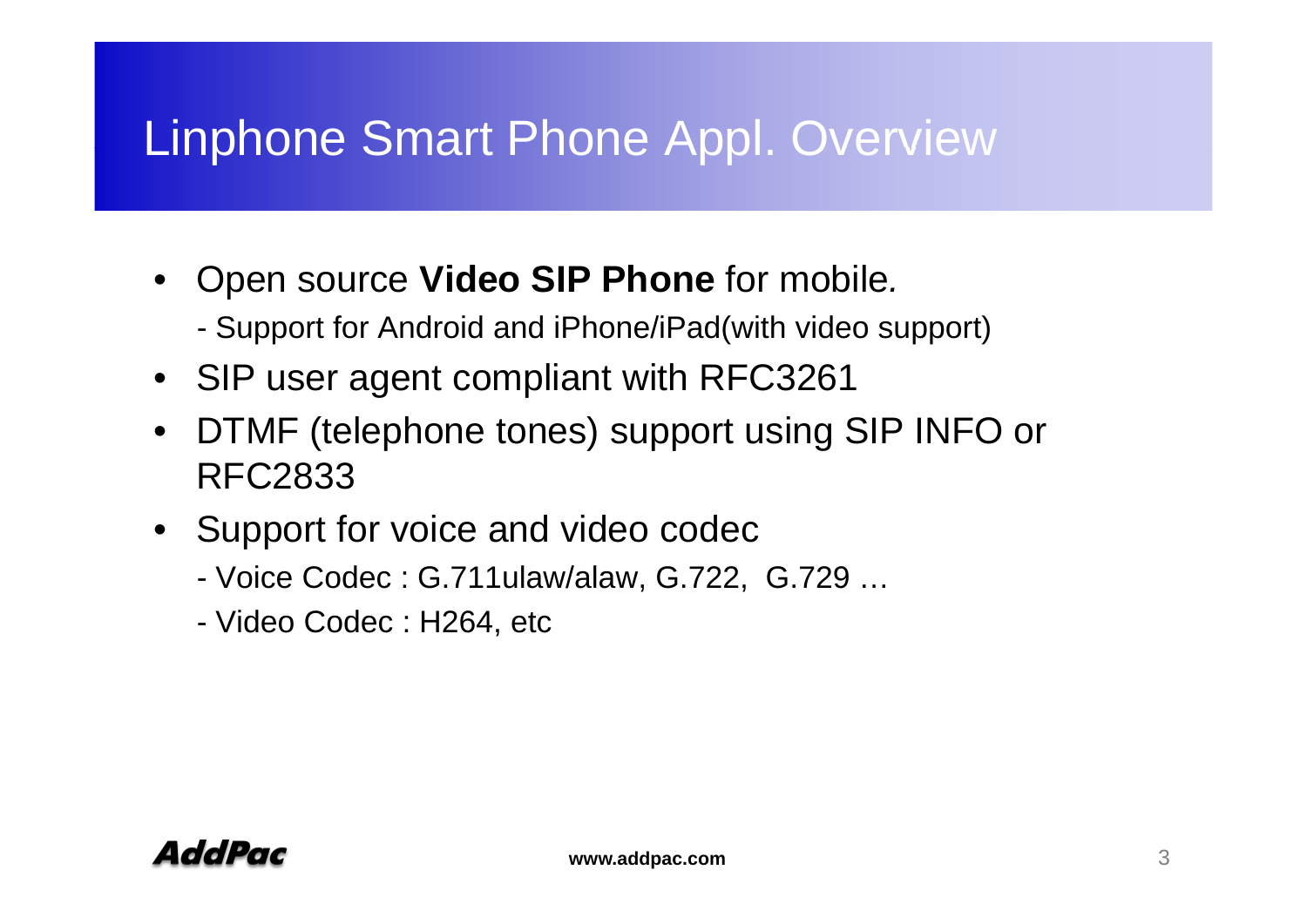## Linphone Smart Phone Appl. Overview

- Open source **Video SIP Phone** for mobile*.*
	- -Support for Android and iPhone/iPad(with video support)
- SIP user agent compliant with RFC3261
- $\bullet$  DTMF (telephone tones) support using SIP INFO or RFC2833
- Support for voice and video codec
	- Voice Codec : G.711ulaw/alaw, G.722, G.729 ...
	- Video Codec : H264, etc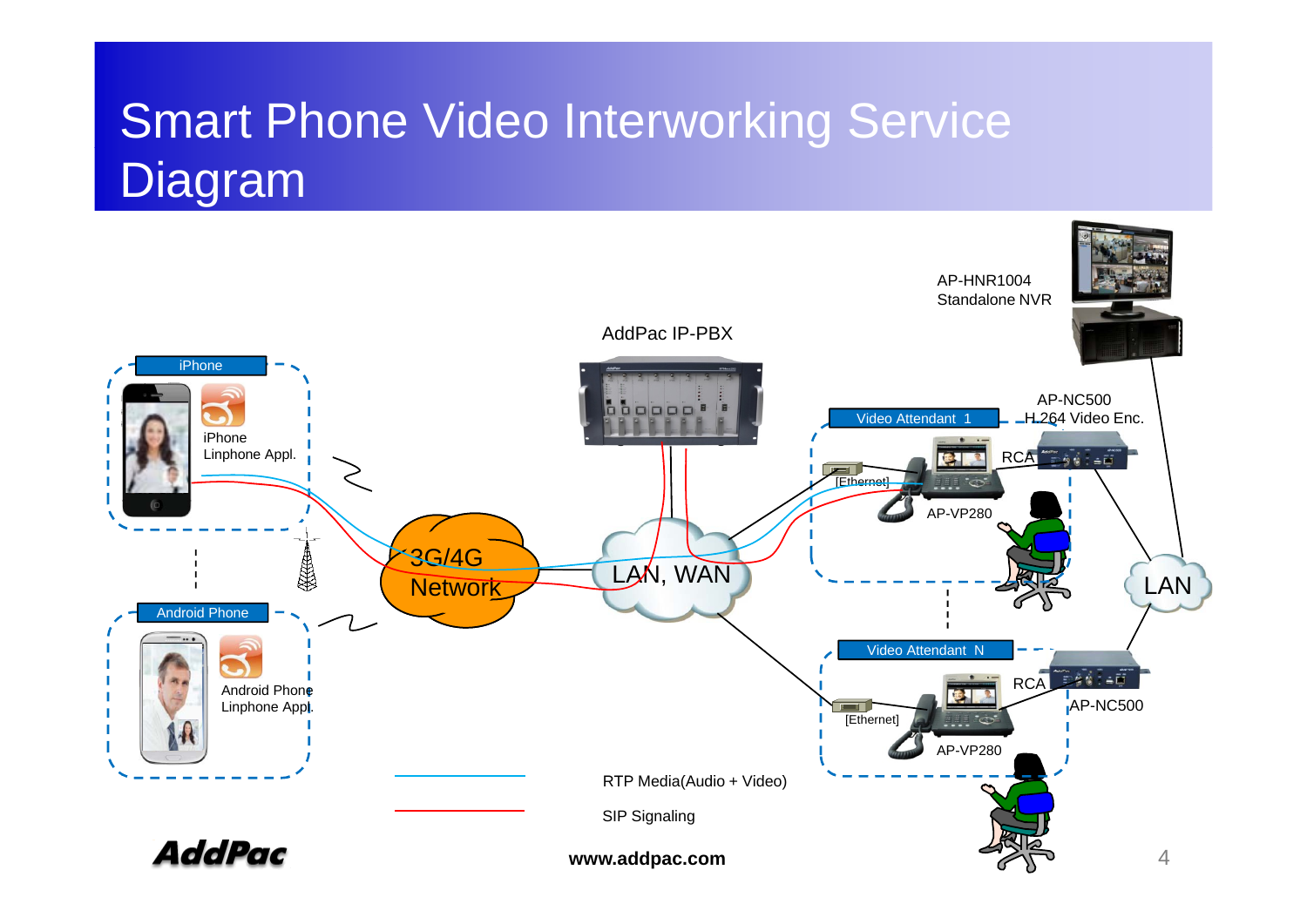## Smart Phone Video Interworkin g Service Diagram

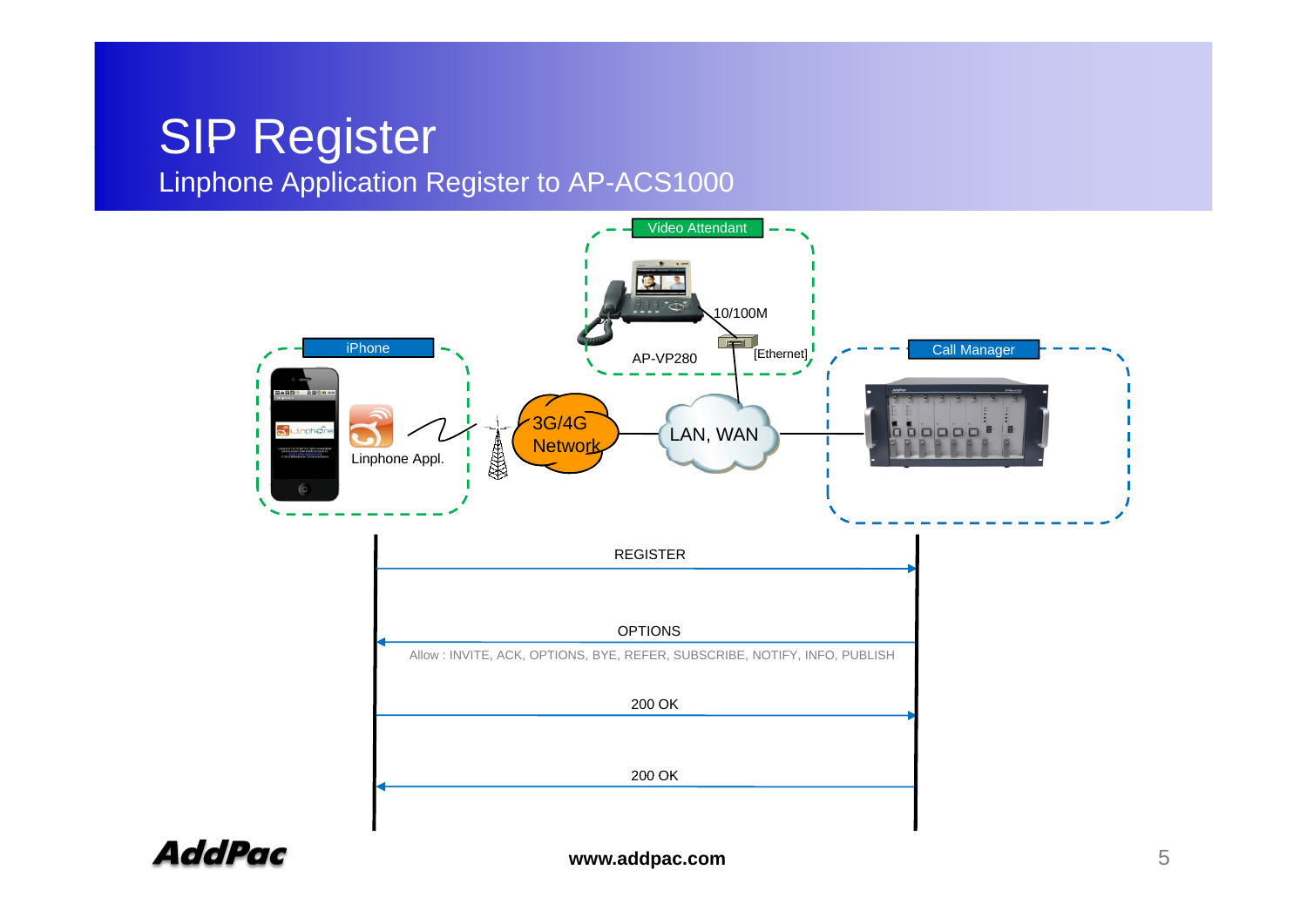## SIP Register

#### Linphone Application Register to AP-ACS1000



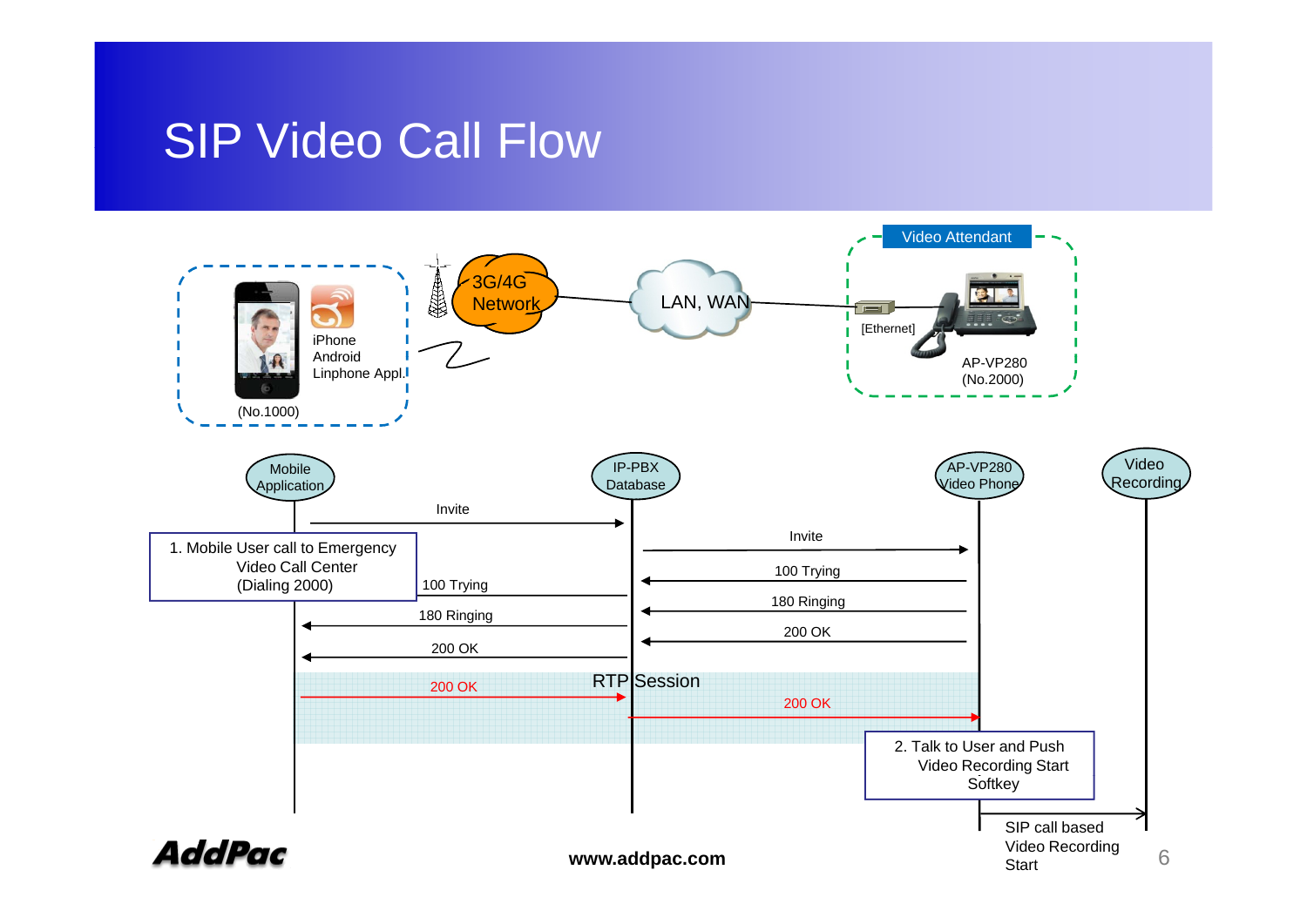#### SIP Video Call Flow

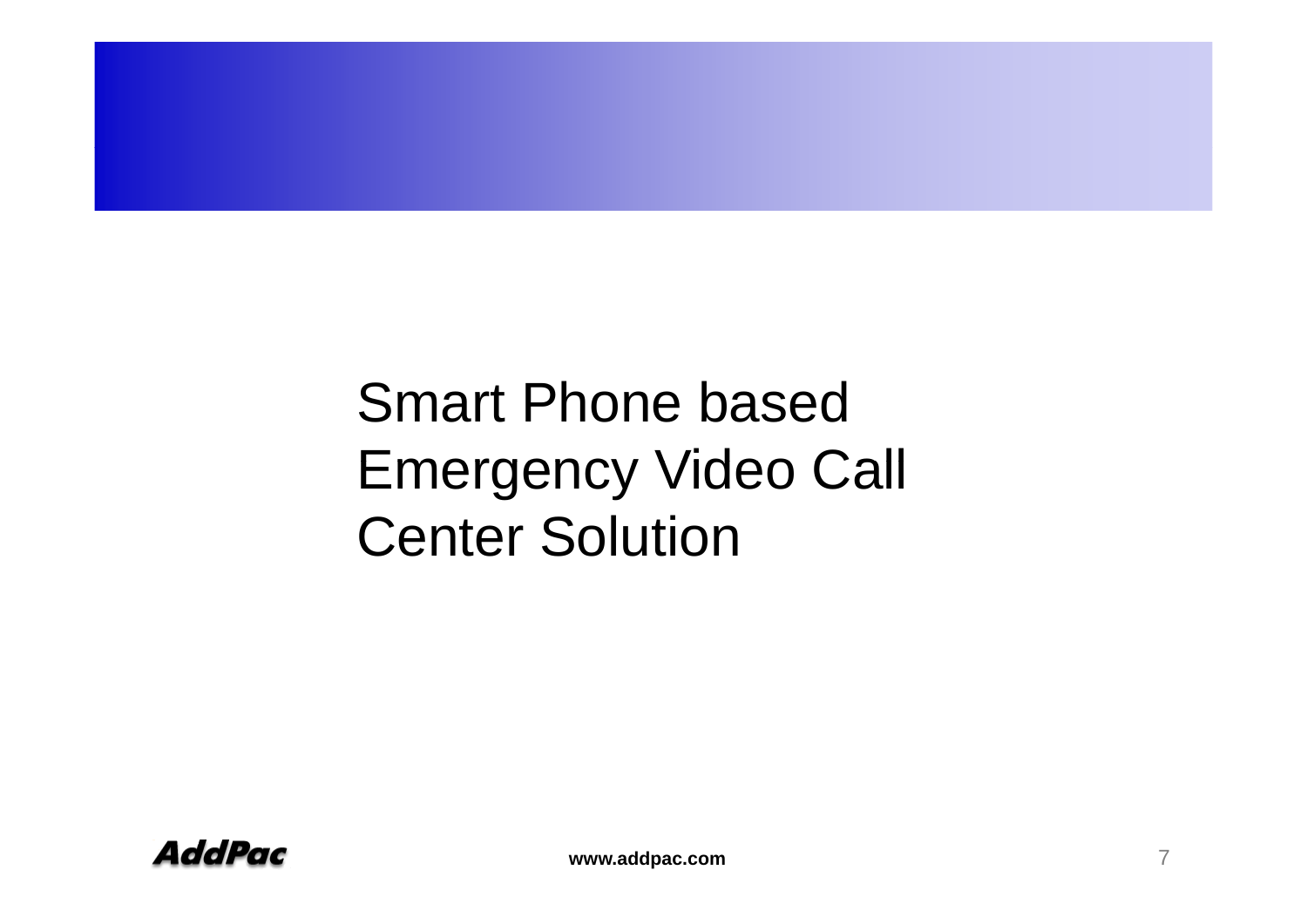Smart Phone based **Emergency Video Call** Center Solution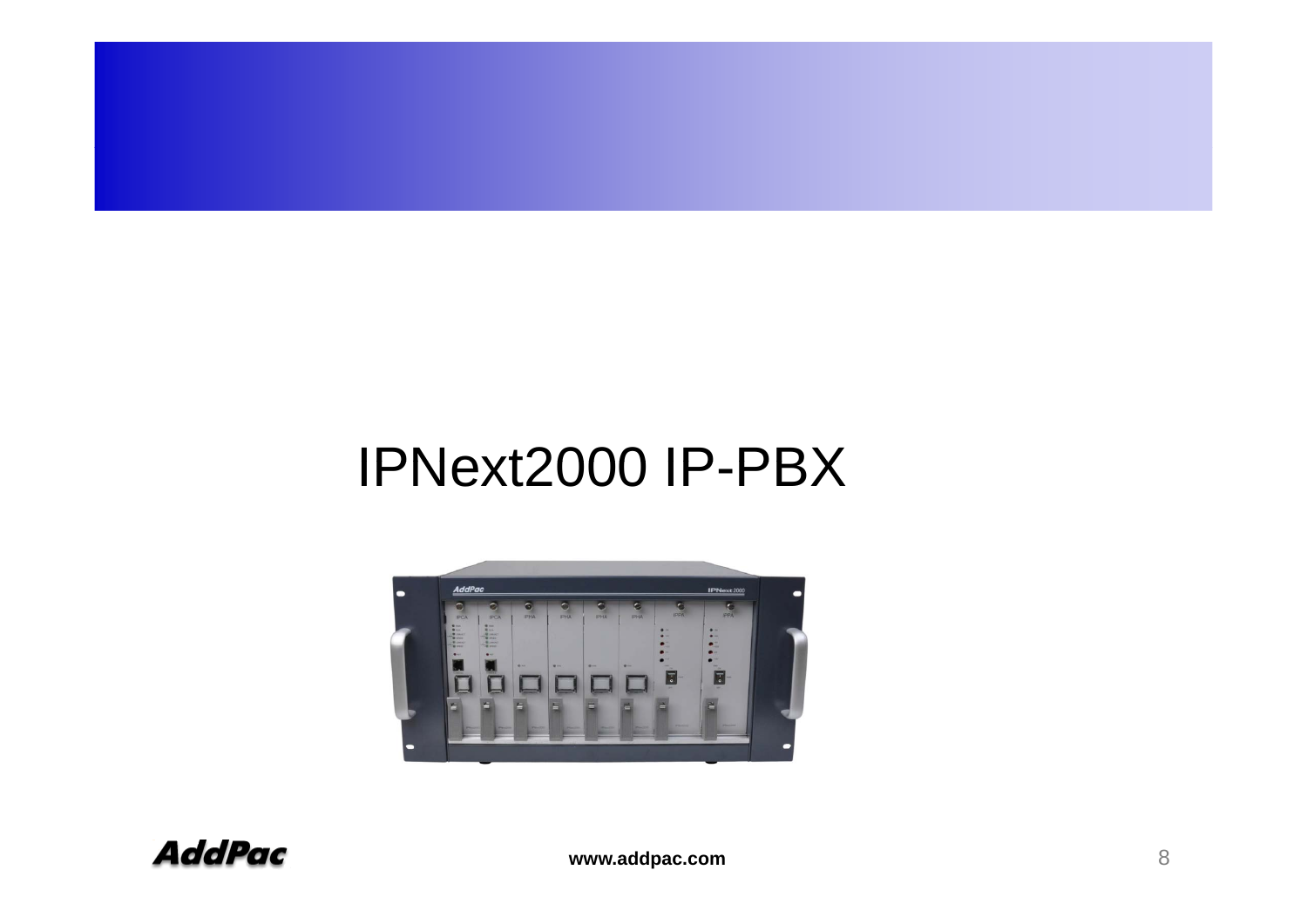## IPNext2000 IP-PBX

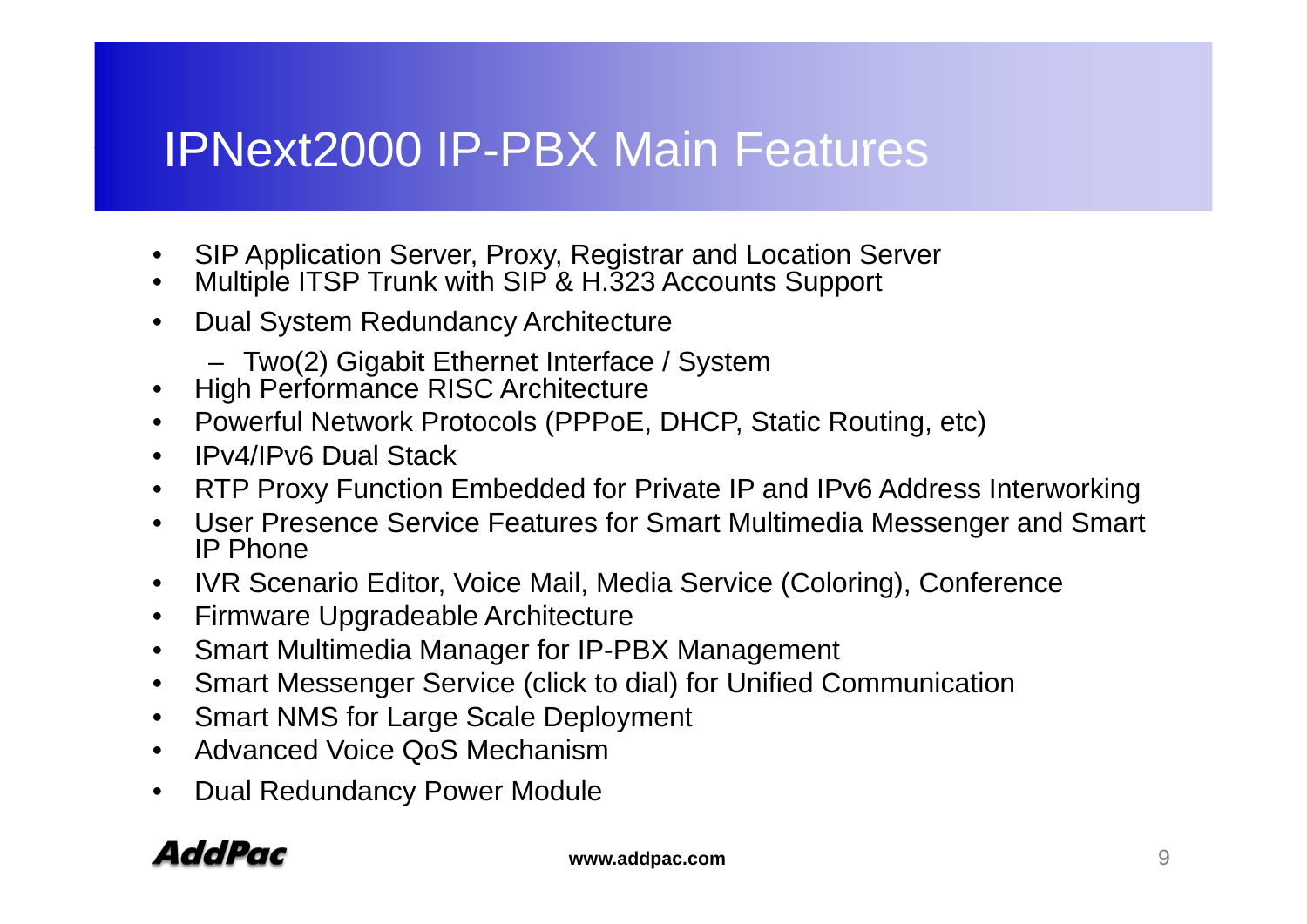## IPNext2000 IP-PBX Main Features

- •Inc.<br>
SIP Application Server, Proxy, Registrar and Location Server
- $\bullet$ Multiple ITSP Trunk with SIP & H.323 Accounts Support
- • Dual System Redundancy Architecture
	- Two(2) Gigabit Ethernet Interface / System
- High Performance RISC Architecture
- Powerful Network Protocols (PPPoE, DHCP, Static Routing, etc)
- IPv4/IPv6 Dual Stack
- RTP Proxy Function Embedded for Private IP and IPv6 Address Interworking
- User Presence Service Features for Smart Multimedia Messenger and Smart IP Phone
- IVR Scenario Editor, Voice Mail, Media Service (Coloring), Conference
- $\bullet$ Firmware Upgradeable Architecture
- $\bullet$ Smart Multimedia Manager for IP-PBX Management
- $\bullet$ Smart Messenger Service (click to dial) for Unified Communication
- •Smart NMS for Large Scale Deployment
- $\bullet$ Advanced Voice QoS Mechanism
- •Dual Redundancy Power Module

#### AddPac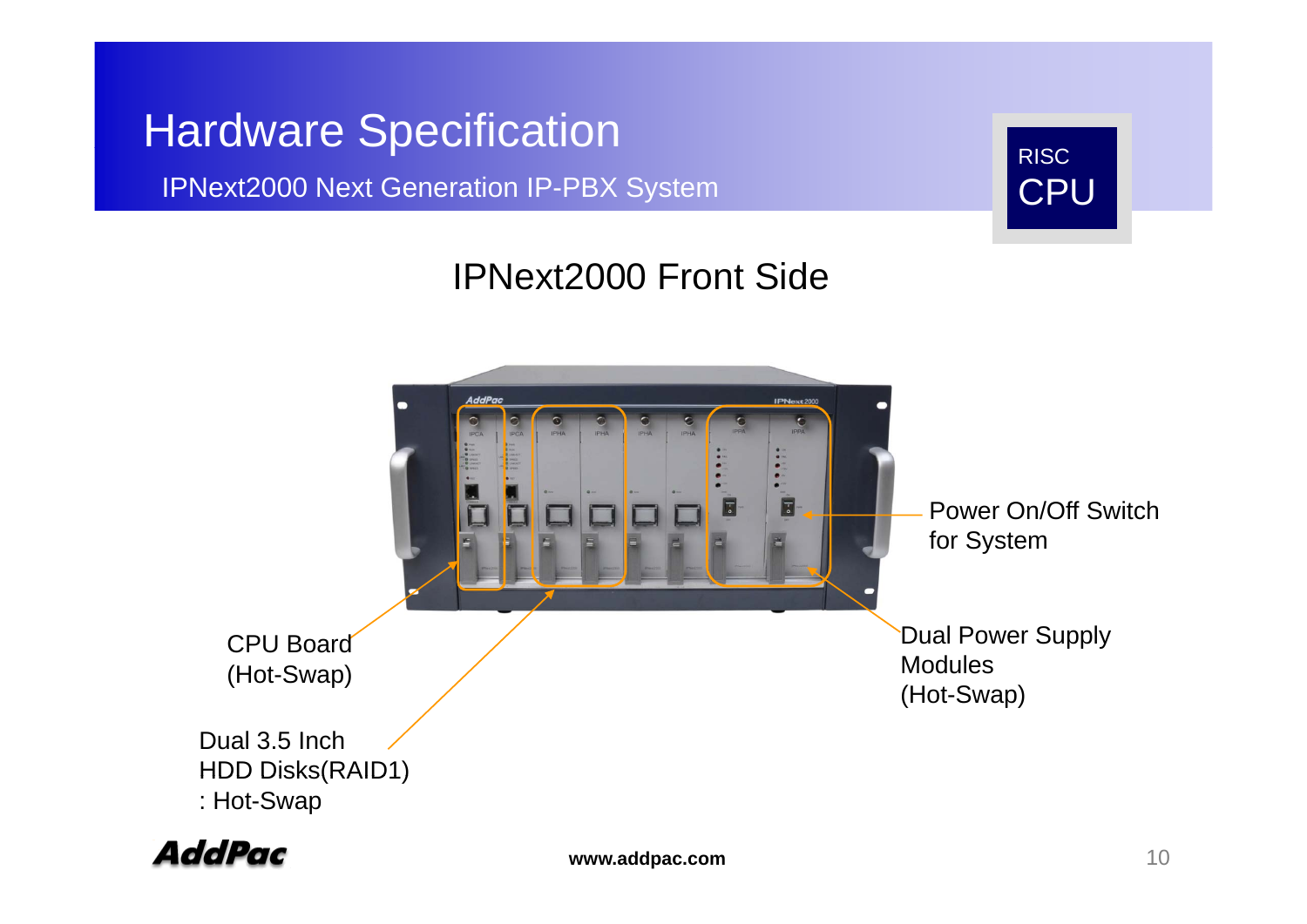#### **Hardware Specification**

IPNext2000 Next Generation IP-PBX System



#### IPNext2000 Front Side



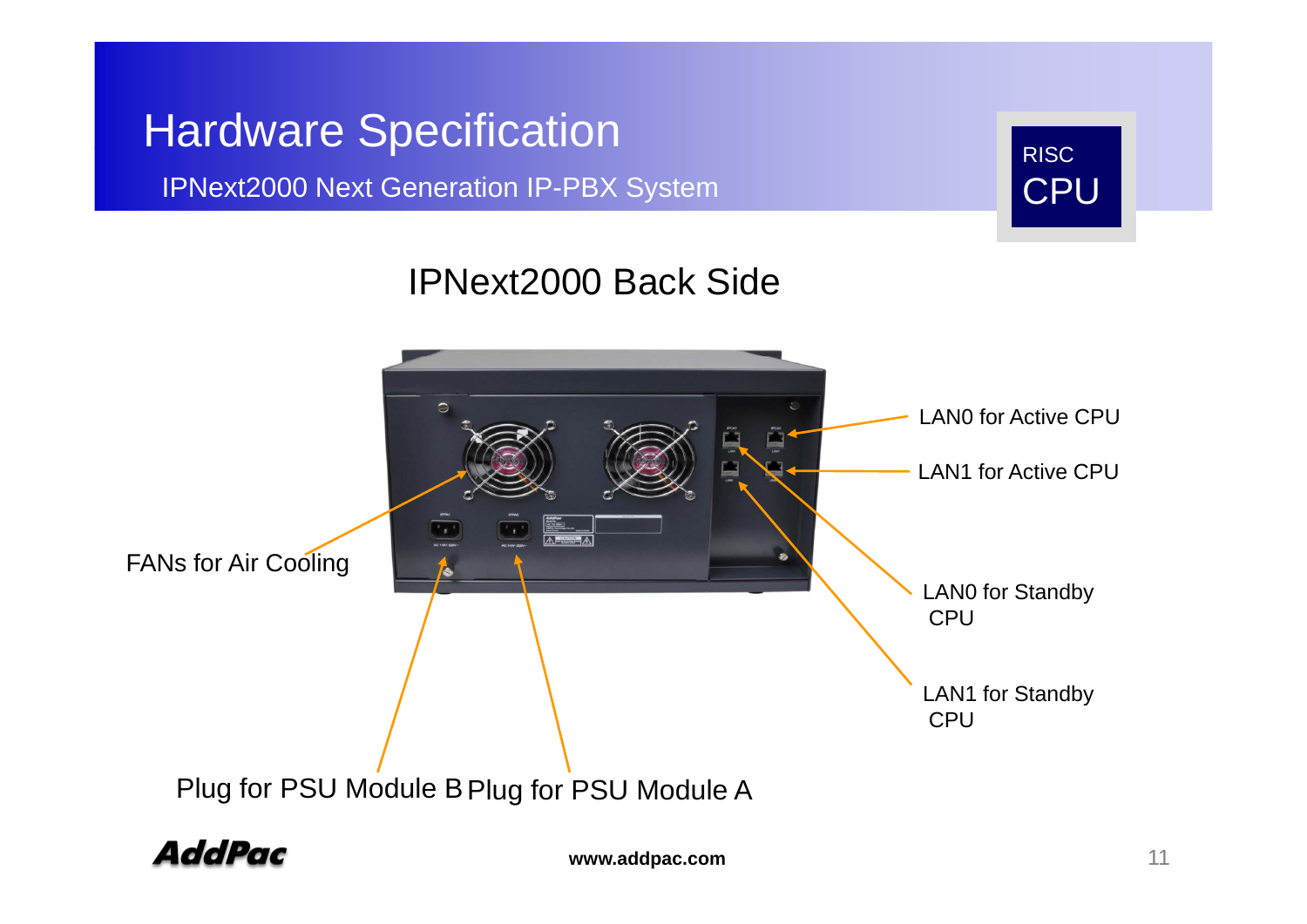#### **Hardware Specification**

#### IPNext2000 Next Generation IP-PBX System



#### IPNext2000 Back Side



**AddPac**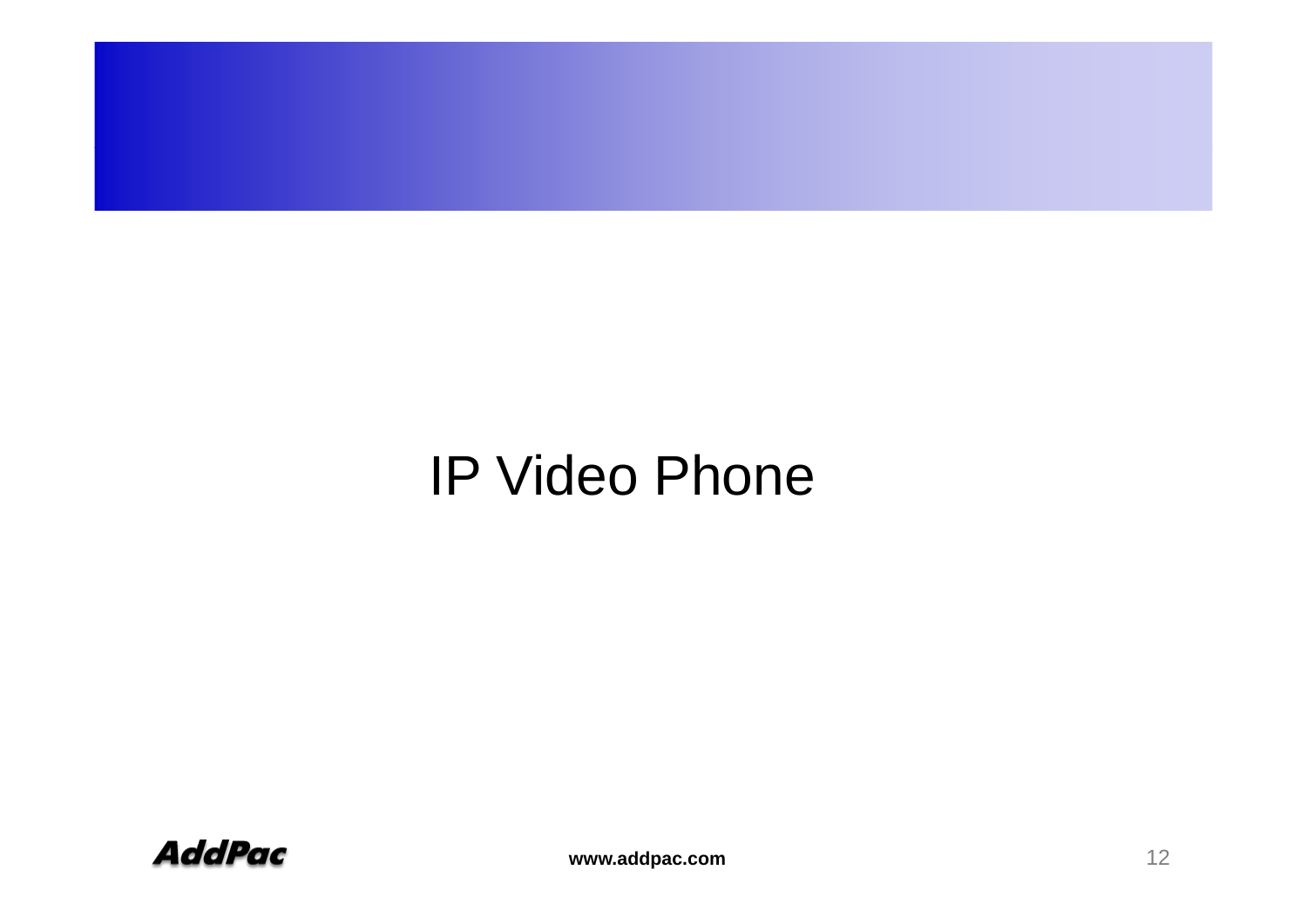## IP Video Phone

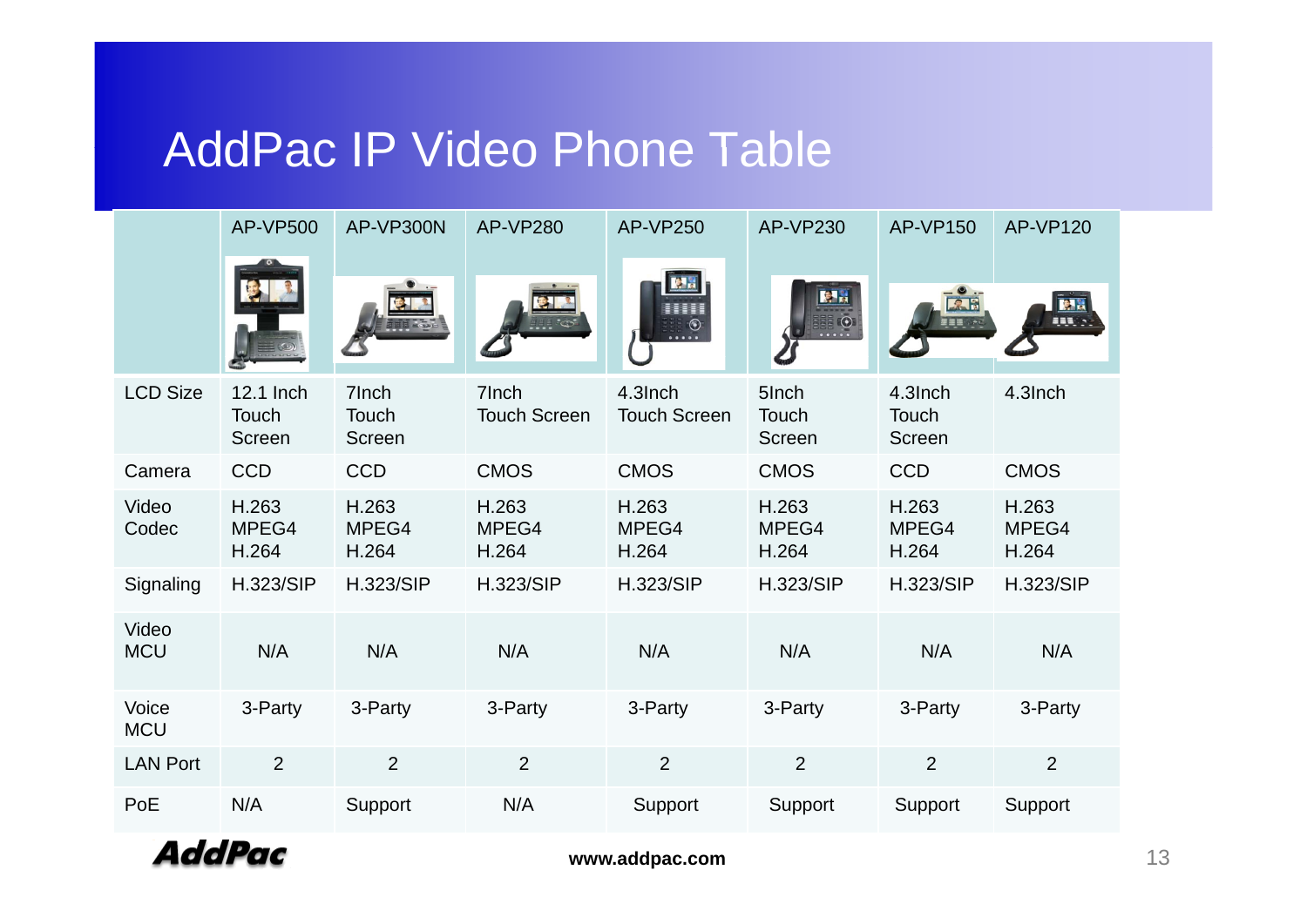#### AddPac IP Video Phone Table

|                     | <b>AP-VP500</b>              | AP-VP300N                | <b>AP-VP280</b>              | <b>AP-VP250</b>                | <b>AP-VP230</b>          | <b>AP-VP150</b>            | <b>AP-VP120</b>         |
|---------------------|------------------------------|--------------------------|------------------------------|--------------------------------|--------------------------|----------------------------|-------------------------|
|                     |                              |                          |                              |                                | 原品<br>$(\bullet)$        |                            | <b>HH</b>               |
| <b>LCD Size</b>     | 12.1 Inch<br>Touch<br>Screen | 7Inch<br>Touch<br>Screen | 7Inch<br><b>Touch Screen</b> | 4.3Inch<br><b>Touch Screen</b> | 5Inch<br>Touch<br>Screen | 4.3Inch<br>Touch<br>Screen | 4.3Inch                 |
| Camera              | <b>CCD</b>                   | <b>CCD</b>               | <b>CMOS</b>                  | <b>CMOS</b>                    | <b>CMOS</b>              | <b>CCD</b>                 | <b>CMOS</b>             |
| Video<br>Codec      | H.263<br>MPEG4<br>H.264      | H.263<br>MPEG4<br>H.264  | H.263<br>MPEG4<br>H.264      | H.263<br>MPEG4<br>H.264        | H.263<br>MPEG4<br>H.264  | H.263<br>MPEG4<br>H.264    | H.263<br>MPEG4<br>H.264 |
| Signaling           | <b>H.323/SIP</b>             | <b>H.323/SIP</b>         | <b>H.323/SIP</b>             | <b>H.323/SIP</b>               | <b>H.323/SIP</b>         | <b>H.323/SIP</b>           | <b>H.323/SIP</b>        |
| Video<br><b>MCU</b> | N/A                          | N/A                      | N/A                          | N/A                            | N/A                      | N/A                        | N/A                     |
| Voice<br><b>MCU</b> | 3-Party                      | 3-Party                  | 3-Party                      | 3-Party                        | 3-Party                  | 3-Party                    | 3-Party                 |
| <b>LAN Port</b>     | $\overline{2}$               | $\overline{2}$           | $\overline{2}$               | $\overline{2}$                 | $\overline{2}$           | $\overline{2}$             | $\overline{2}$          |
| PoE                 | N/A                          | Support                  | N/A                          | Support                        | Support                  | Support                    | Support                 |

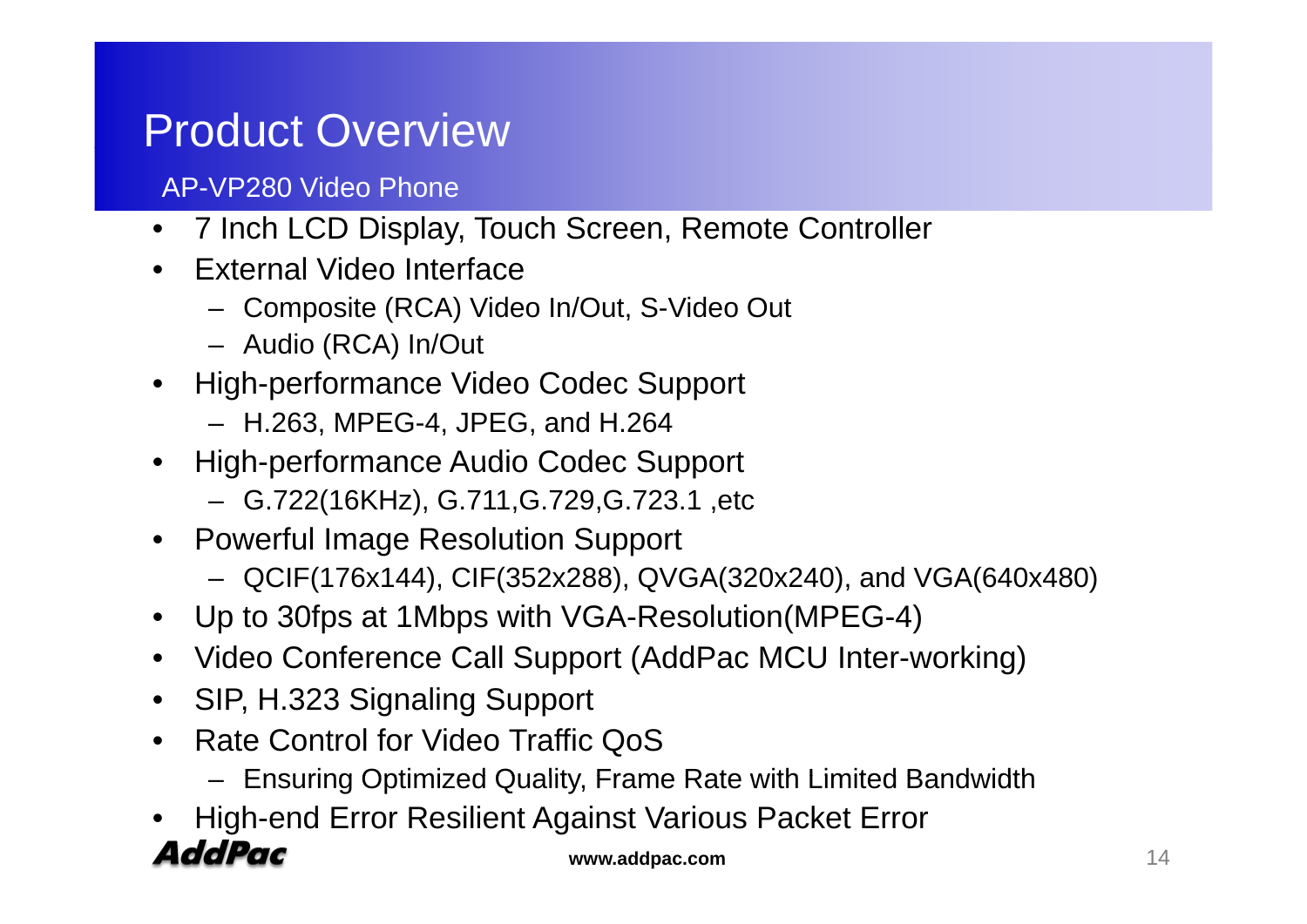#### Product Overview

#### AP-VP280 Video Phone

- 7 Inch LCD Display, Touch Screen, Remote Controller
- • External Video Interface
	- Composite (RCA) Video In/Out, S-Video Out
	- Audio (RCA) In/Out
- High-performance Video Codec Support
	- H.263, MPEG-4, JPEG, and H.264
- High-performance Audio Codec Support
	- G.722(16KHz), G.711,G.729,G.723.1 ,etc
- Powerful Image Resolution Support
	- QCIF(176x144), CIF(352x288), QVGA(320x240), and VGA(640x480)
- Up to 30fps at 1Mbps with VGA-Resolution(MPEG-4)
- Video Conference Call Support (AddPac MCU Inter-working)
- SIP, H.323 Signaling Support
- Rate Control for Video Traffic QoS
	- Ensuring Optimized Quality, Frame Rate with Limited Bandwidth
- •High-end Error Resilient Against Various Packet Error

#### **AddPac**

**www.addpac.com** 14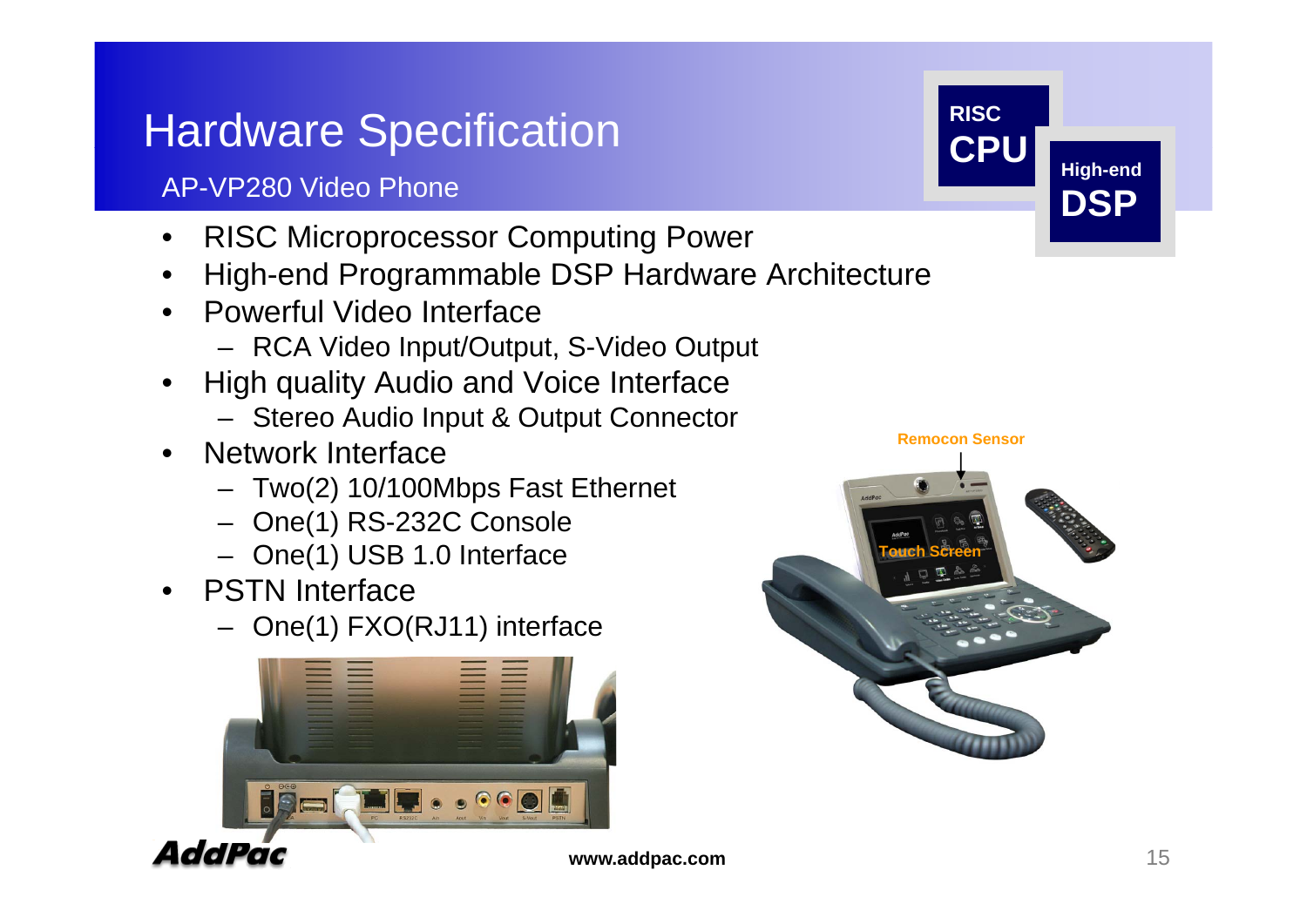## **Hardware Specification RISC**

#### AP-VP280 Video Phone

- $\bullet$ RISC Microprocessor Computing Power
- •High-end Programmable DSP Hardware Architecture
- Powerful Video Interface
	- RCA Video Input/Output, S-Video Output
- • High quality Audio and Voice Interface
	- Stereo Audio Input & Output Connector
- Network Interface **Remocon Sensor** 
	- Two(2) 10/100Mbps Fast Ethernet
	- One(1) RS-232C Console
	- One(1) USB 1.0 Interface **Touch Screen** ( )
- PSTN Interface
	- One(1) FXO(RJ11) interface





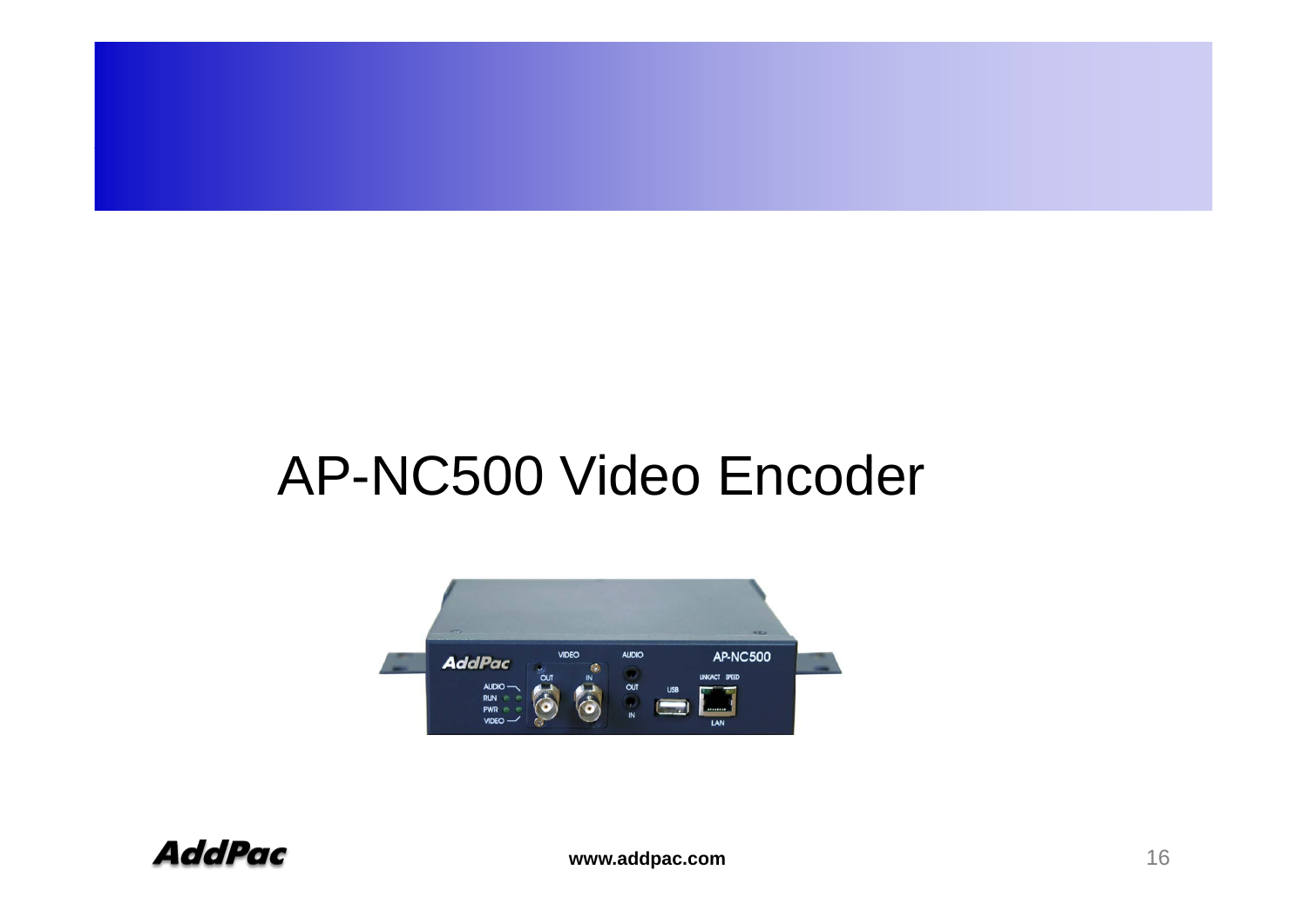## AP-NC500 Video Encoder



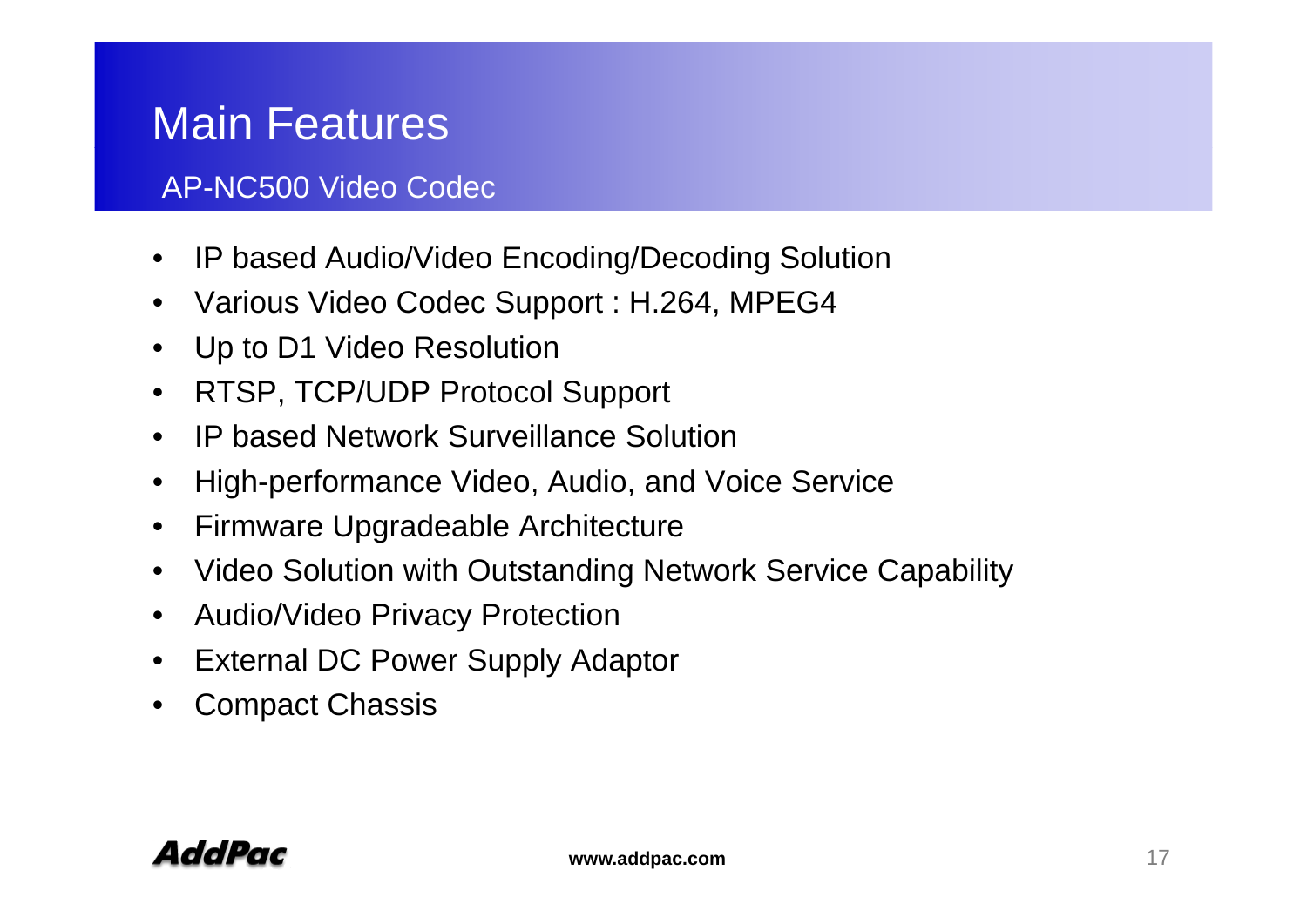## Main Features

#### AP-NC500 Video Codec

- IP based Audio/Video Encoding/Decoding Solution •
- Various Video Codec Support : H.264, MPEG4
- Up to D1 Video Resolution
- RTSP, TCP/UDP Protocol Support
- IP based Network Surveillance Solution
- •High-performance Video, Audio, and Voice Service
- •Firmware Upgradeable Architecture
- Video Solution with Outstanding Network Service Capability
- •Audio/Video Privacy Protection
- •External DC Power Supply Adaptor
- $\bullet$ Compact Chassis

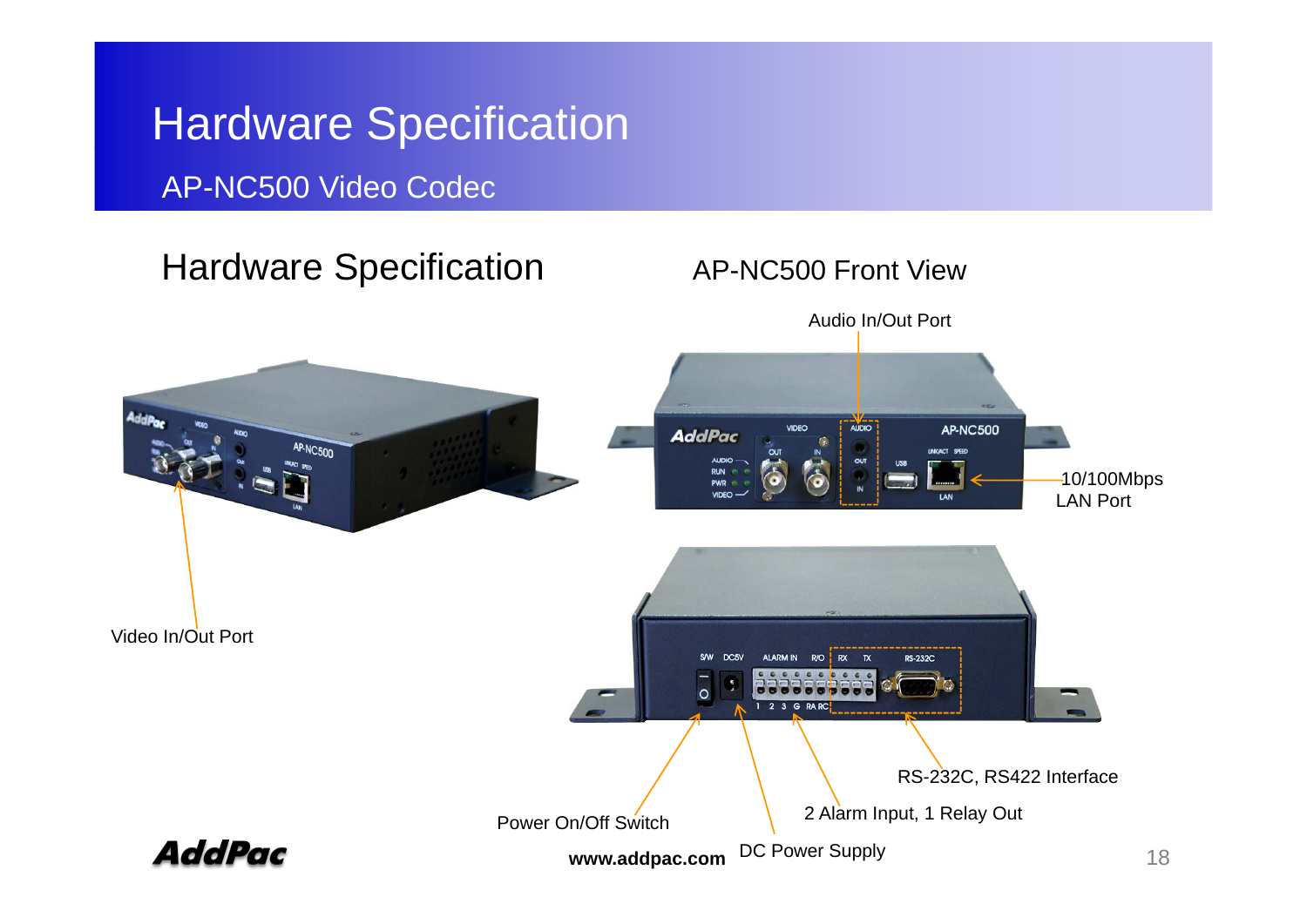## Hardware Specification

#### AP-NC500 Video Codec

#### Hardware Specification **AP-NC500 Front View**

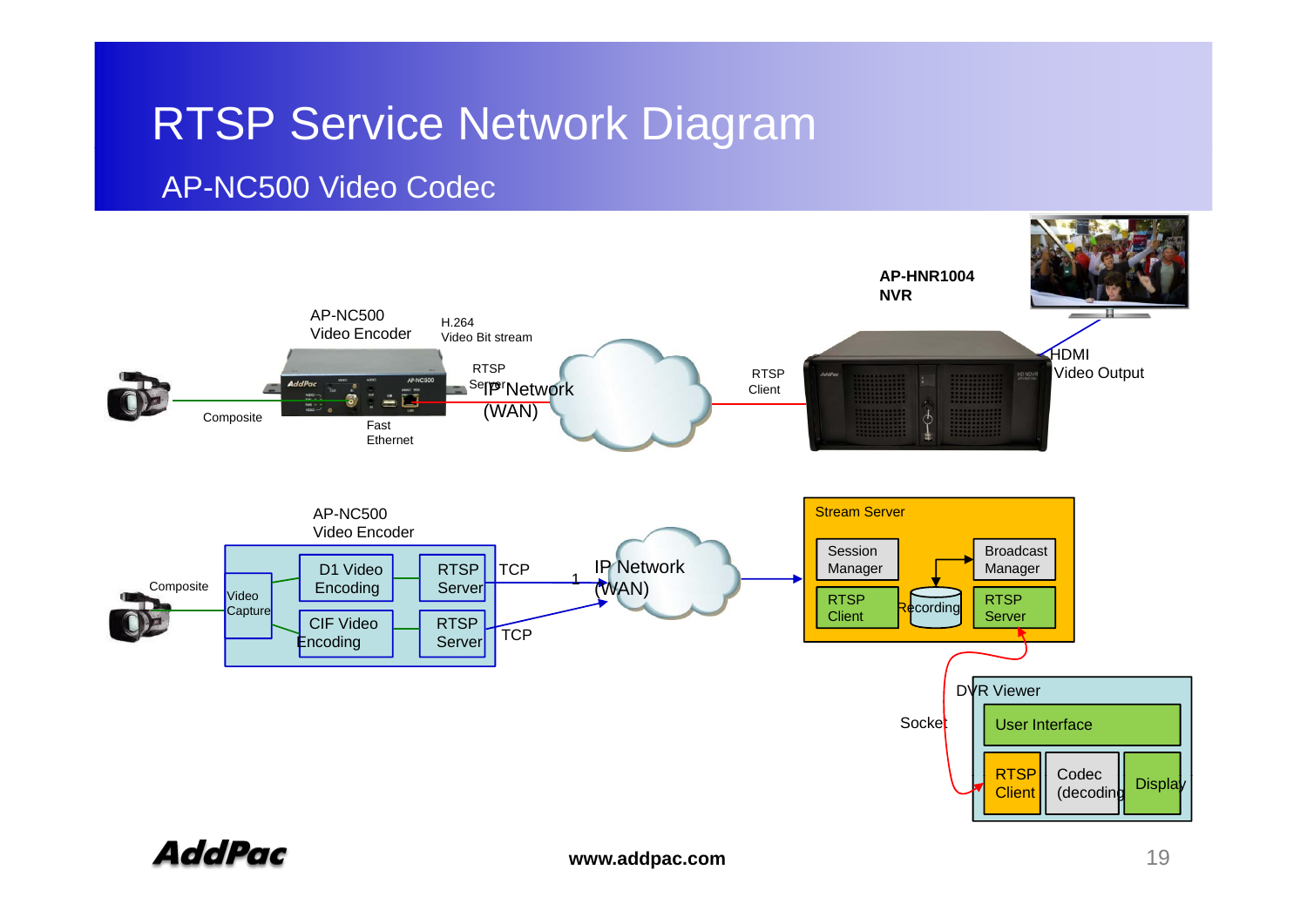## RTSP Service Network Dia gram

#### AP-NC500 Video Codec



AddPac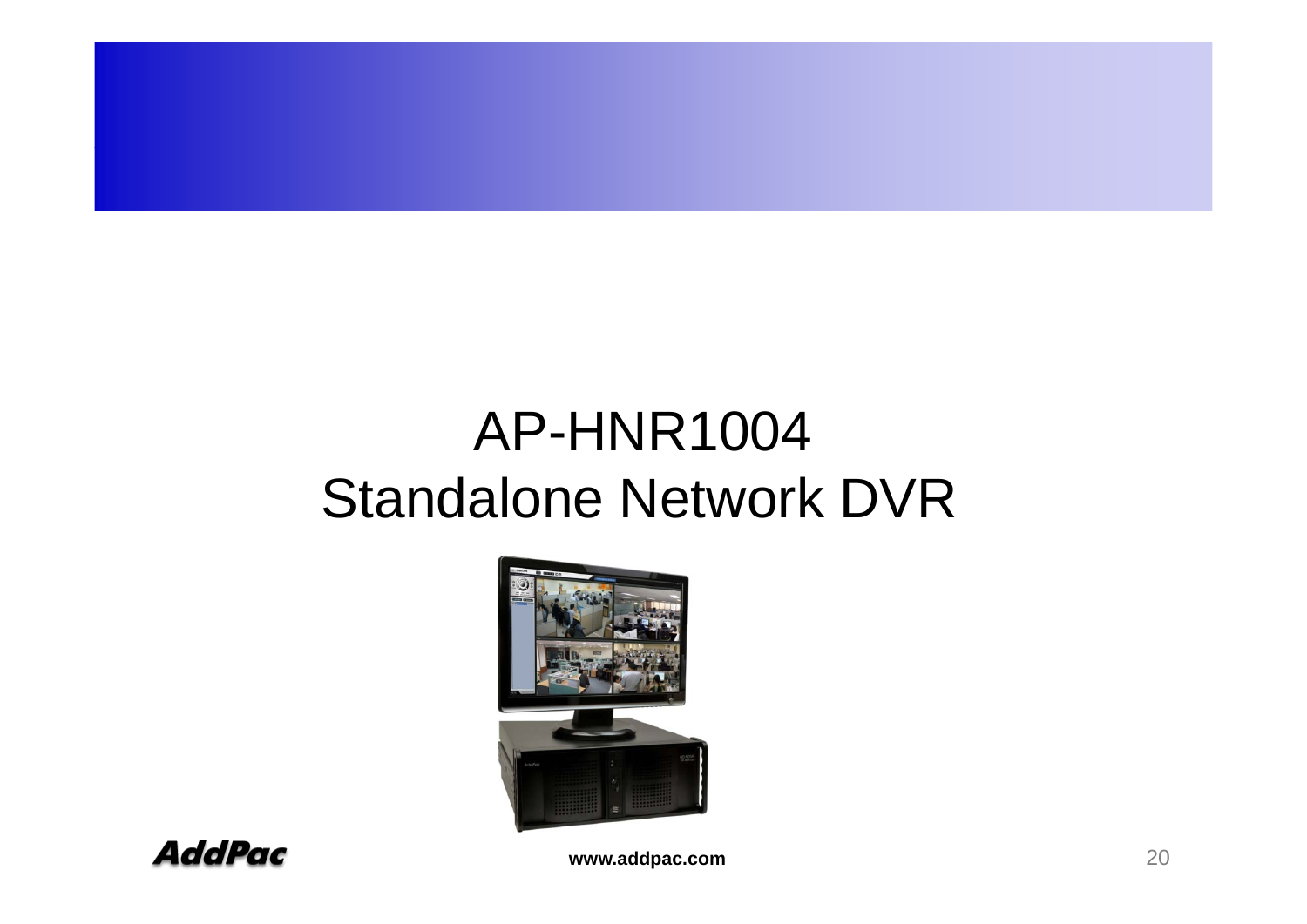## AP-HNR1004 Standalone Network DVR





**www.addpac.com** 20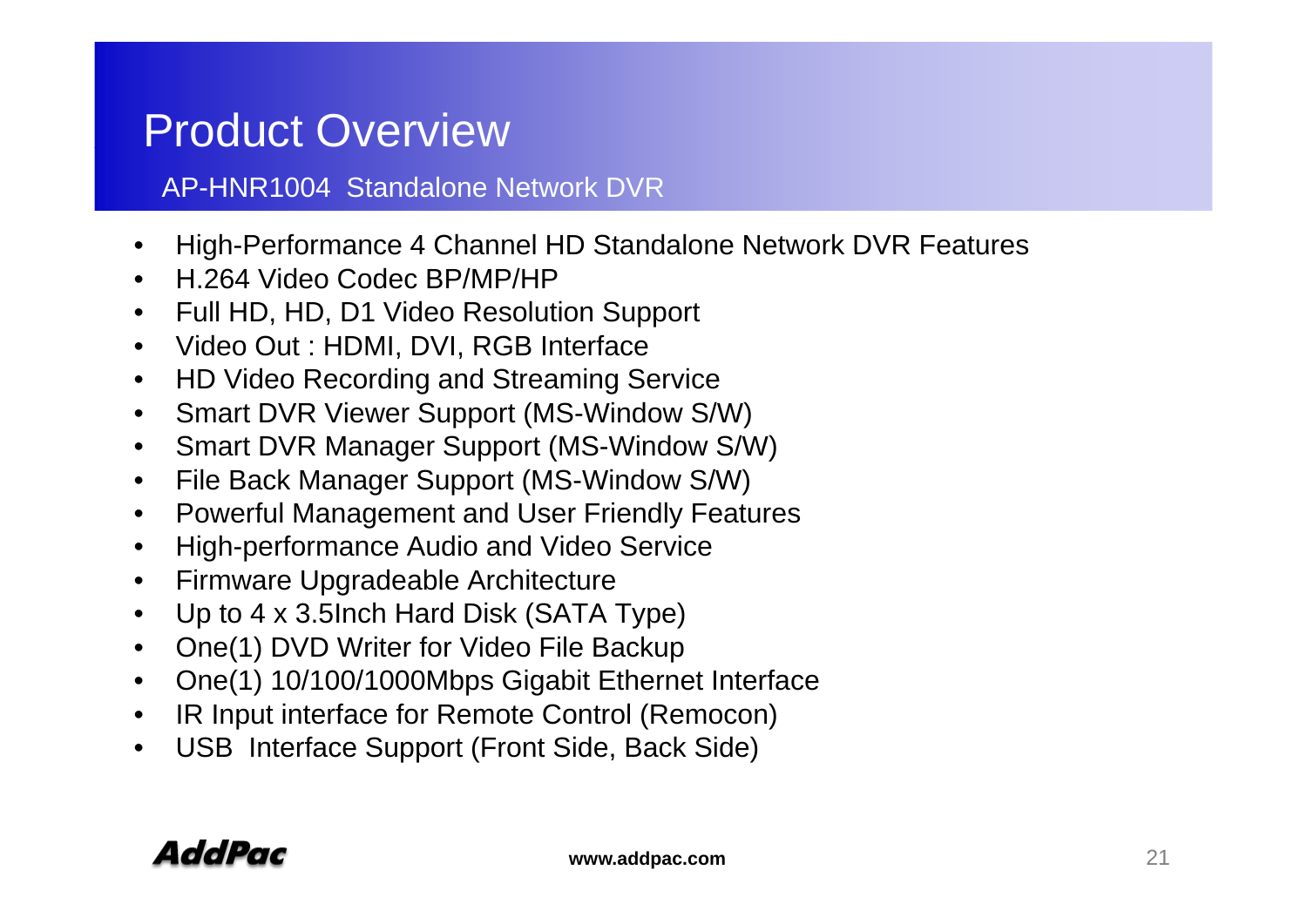#### Product Overview

#### AP-HNR1004 Standalone Network DVR

- •● High-Performance 4 Channel HD Standalone Network DVR Features<br>● H 264 Video Codec BP/MP/HP
- H.264 Video Codec BP/MP/HP
- $\bullet$ Full HD, HD, D1 Video Resolution Support
- $\bullet$ Video Out : HDMI, DVI, RGB Interface
- $\bullet$ HD Video Recording and Streaming Service
- •Smart DVR Viewer Support (MS-Window S/W)
- $\bullet$ Smart DVR Manager Support (MS-Window S/W)
- $\bullet$ File Back Manager Support (MS-Window S/W)
- $\bullet$ Powerful Management and User Friendly Features
- •High-performance Audio and Video Service
- $\bullet$ Firmware Upgradeable Architecture
- $\bullet$ Up to 4 x 3.5Inch Hard Disk (SATA Type)
- •One(1) DVD Writer for Video File Backup
- •One(1) 10/100/1000Mbps Gigabit Ethernet Interface
- •IR Input interface for Remote Control (Remocon)
- $\bullet$ USB Interface Support (Front Side, Back Side)

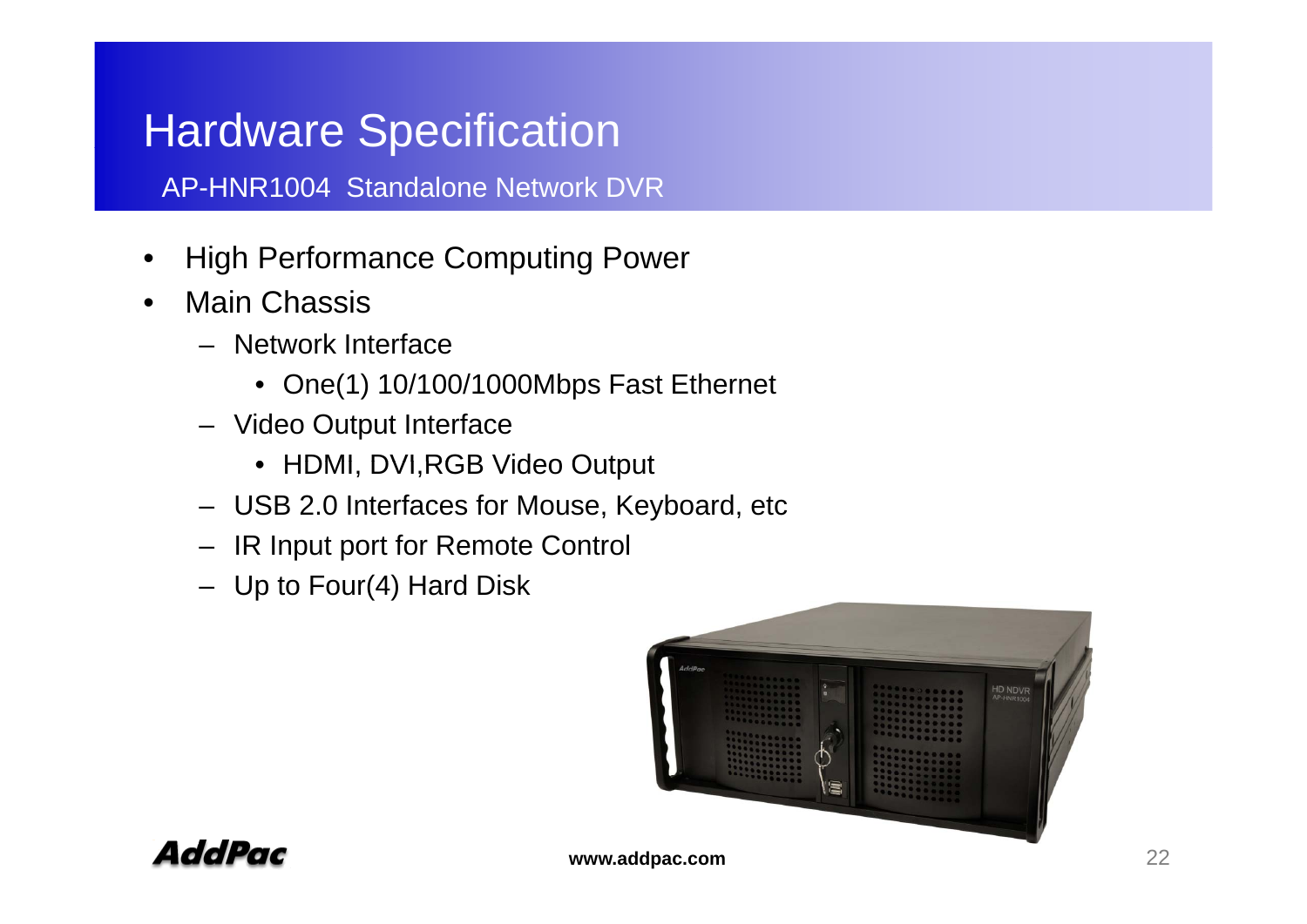## **Hardware Specification**

AP-HNR1004 Standalone Network DVR

- High Performance Computing Power<br>● Main Chassis •
- Main Chassis
	- Network Interface
		- One(1) 10/100/1000Mbps Fast Ethernet
	- Video Output Interface
		- HDMI, DVI,RGB Video Output
	- USB 2.0 Interfaces for Mouse, Keyboard, etc
	- IR Input port for Remote Control
	- Up to Four(4) Hard Disk